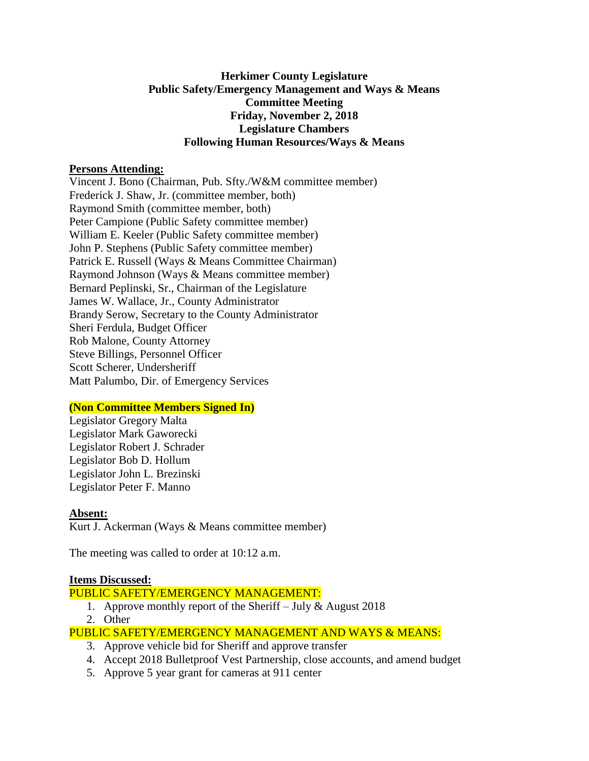## **Herkimer County Legislature Public Safety/Emergency Management and Ways & Means Committee Meeting Friday, November 2, 2018 Legislature Chambers Following Human Resources/Ways & Means**

#### **Persons Attending:**

Vincent J. Bono (Chairman, Pub. Sfty./W&M committee member) Frederick J. Shaw, Jr. (committee member, both) Raymond Smith (committee member, both) Peter Campione (Public Safety committee member) William E. Keeler (Public Safety committee member) John P. Stephens (Public Safety committee member) Patrick E. Russell (Ways & Means Committee Chairman) Raymond Johnson (Ways & Means committee member) Bernard Peplinski, Sr., Chairman of the Legislature James W. Wallace, Jr., County Administrator Brandy Serow, Secretary to the County Administrator Sheri Ferdula, Budget Officer Rob Malone, County Attorney Steve Billings, Personnel Officer Scott Scherer, Undersheriff Matt Palumbo, Dir. of Emergency Services

# **(Non Committee Members Signed In)**

Legislator Gregory Malta Legislator Mark Gaworecki Legislator Robert J. Schrader Legislator Bob D. Hollum Legislator John L. Brezinski Legislator Peter F. Manno

# **Absent:**

Kurt J. Ackerman (Ways & Means committee member)

The meeting was called to order at 10:12 a.m.

#### **Items Discussed:**

## PUBLIC SAFETY/EMERGENCY MANAGEMENT:

- 1. Approve monthly report of the Sheriff July & August 2018
- 2. Other

# PUBLIC SAFETY/EMERGENCY MANAGEMENT AND WAYS & MEANS:

- 3. Approve vehicle bid for Sheriff and approve transfer
- 4. Accept 2018 Bulletproof Vest Partnership, close accounts, and amend budget
- 5. Approve 5 year grant for cameras at 911 center